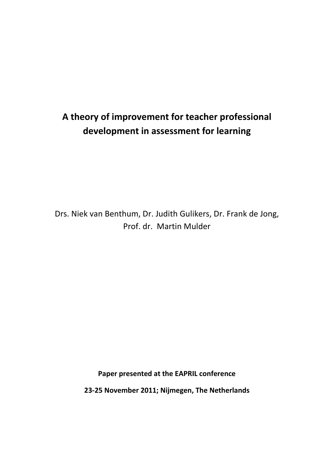# **A theory of improvement for teacher professional development in assessment for learning**

Drs. Niek van Benthum, Dr. Judith Gulikers, Dr. Frank de Jong, Prof. dr. Martin Mulder

**Paper presented at the EAPRIL conference**

**23-25 November 2011; Nijmegen, The Netherlands**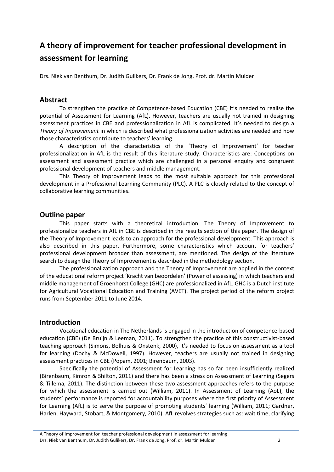## **A theory of improvement for teacher professional development in assessment for learning**

Drs. Niek van Benthum, Dr. Judith Gulikers, Dr. Frank de Jong, Prof. dr. Martin Mulder

## **Abstract**

To strengthen the practice of Competence-based Education (CBE) it's needed to realise the potential of Assessment for Learning (AfL). However, teachers are usually not trained in designing assessment practices in CBE and professionalization in AfL is complicated. It's needed to design a *Theory of Improvement* in which is described what professionalization activities are needed and how those characteristics contribute to teachers' learning.

A description of the characteristics of the 'Theory of Improvement' for teacher professionalization in AfL is the result of this literature study. Characteristics are: Conceptions on assessment and assessment practice which are challenged in a personal enquiry and congruent professional development of teachers and middle management.

This Theory of improvement leads to the most suitable approach for this professional development in a Professional Learning Community (PLC). A PLC is closely related to the concept of collaborative learning communities.

## **Outline paper**

This paper starts with a theoretical introduction. The Theory of Improvement to professionalize teachers in AfL in CBE is described in the results section of this paper. The design of the Theory of Improvement leads to an approach for the professional development. This approach is also described in this paper. Furthermore, some characteristics which account for teachers' professional development broader than assessment, are mentioned. The design of the literature search to design the Theory of Improvement is described in the methodology section.

The professionalization approach and the Theory of Improvement are applied in the context of the educational reform project 'Kracht van beoordelen' (Power of assessing) in which teachers and middle management of Groenhorst College (GHC) are professionalized in AfL. GHC is a Dutch institute for Agricultural Vocational Education and Training (AVET). The project period of the reform project runs from September 2011 to June 2014.

## **Introduction**

Vocational education in The Netherlands is engaged in the introduction of competence-based education (CBE) (De Bruijn & Leeman, 2011). To strengthen the practice of this constructivist-based teaching approach (Simons, Bolhuis & Onstenk, 2000), it's needed to focus on assessment as a tool for learning (Dochy & McDowell, 1997). However, teachers are usually not trained in designing assessment practices in CBE (Popam, 2001; Birenbaum, 2003).

Specifically the potential of Assessment for Learning has so far been insufficiently realized (Birenbaum, Kimron & Shilton, 2011) and there has been a stress on Assessment of Learning (Segers & Tillema, 2011). The distinction between these two assessment approaches refers to the purpose for which the assessment is carried out (William, 2011). In Assessment of Learning (AoL), the students' performance is reported for accountability purposes where the first priority of Assessment for Learning (AfL) is to serve the purpose of promoting students' learning (William, 2011; Gardner, Harlen, Hayward, Stobart, & Montgomery, 2010). AfL revolves strategies such as: wait time, clarifying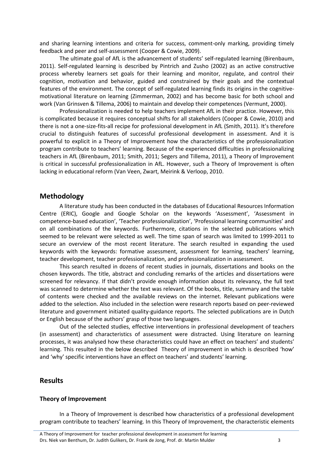and sharing learning intentions and criteria for success, comment-only marking, providing timely feedback and peer and self-assessment (Cooper & Cowie, 2009).

The ultimate goal of AfL is the advancement of students' self-regulated learning (Birenbaum, 2011). Self-regulated learning is described by Pintrich and Zusho (2002) as an active constructive process whereby learners set goals for their learning and monitor, regulate, and control their cognition, motivation and behavior, guided and constrained by their goals and the contextual features of the environment. The concept of self-regulated learning finds its origins in the cognitivemotivational literature on learning (Zimmerman, 2002) and has become basic for both school and work (Van Grinsven & Tillema, 2006) to maintain and develop their competences (Vermunt, 2000).

Professionalization is needed to help teachers implement AfL in their practice. However, this is complicated because it requires conceptual shifts for all stakeholders (Cooper & Cowie, 2010) and there is not a one-size-fits-all recipe for professional development in AfL (Smith, 2011). It's therefore crucial to distinguish features of successful professional development in assessment. And it is powerful to explicit in a Theory of Improvement how the characteristics of the professionalization program contribute to teachers' learning. Because of the experienced difficulties in professionalizing teachers in AfL (Birenbaum, 2011; Smith, 2011; Segers and Tillema, 2011), a Theory of Improvement is critical in successful professionalization in AfL. However, such a Theory of Improvement is often lacking in educational reform (Van Veen, Zwart, Meirink & Verloop, 2010.

#### **Methodology**

A literature study has been conducted in the databases of Educational Resources Information Centre (ERIC), Google and Google Scholar on the keywords 'Assessment', 'Assessment in competence-based education', 'Teacher professionalization', 'Professional learning communities' and on all combinations of the keywords. Furthermore, citations in the selected publications which seemed to be relevant were selected as well. The time span of search was limited to 1999-2011 to secure an overview of the most recent literature. The search resulted in expanding the used keywords with the keywords: formative assessment, assessment for learning, teachers' learning, teacher development, teacher professionalization, and professionalization in assessment.

This search resulted in dozens of recent studies in journals, dissertations and books on the chosen keywords. The title, abstract and concluding remarks of the articles and dissertations were screened for relevancy. If that didn't provide enough information about its relevancy, the full text was scanned to determine whether the text was relevant. Of the books, title, summary and the table of contents were checked and the available reviews on the internet. Relevant publications were added to the selection. Also included in the selection were research reports based on peer-reviewed literature and government initiated quality-guidance reports. The selected publications are in Dutch or English because of the authors' grasp of those two languages.

Out of the selected studies, effective interventions in professional development of teachers (in assessment) and characteristics of assessment were distracted. Using literature on learning processes, it was analysed how these characteristics could have an effect on teachers' and students' learning. This resulted in the below described Theory of improvement in which is described 'how' and 'why' specific interventions have an effect on teachers' and students' learning.

## **Results**

#### **Theory of Improvement**

In a Theory of Improvement is described how characteristics of a professional development program contribute to teachers' learning. In this Theory of Improvement, the characteristic elements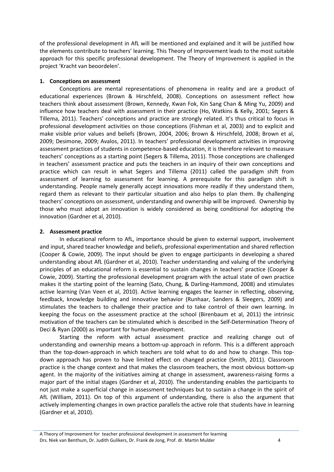of the professional development in AfL will be mentioned and explained and it will be justified how the elements contribute to teachers' learning. This Theory of Improvement leads to the most suitable approach for this specific professional development. The Theory of Improvement is applied in the project 'Kracht van beoordelen'.

#### **1. Conceptions on assessment**

Conceptions are mental representations of phenomena in reality and are a product of educational experiences (Brown & Hirschfeld, 2008). Conceptions on assessment reflect how teachers think about assessment (Brown, Kennedy, Kwan Fok, Kin Sang Chan & Ming Yu, 2009) and influence how teachers deal with assessment in their practice (Ho, Watkins & Kelly, 2001; Segers & Tillema, 2011). Teachers' conceptions and practice are strongly related. It's thus critical to focus in professional development activities on those conceptions (Fishman et al, 2003) and to explicit and make visible prior values and beliefs (Brown, 2004, 2006; Brown & Hirschfeld, 2008; Brown et al, 2009; Desimone, 2009; Avalos, 2011). In teachers' professional development activities in improving assessment practices of students in competence-based education, it is therefore relevant to measure teachers' conceptions as a starting point (Segers & Tillema, 2011). Those conceptions are challenged in teachers' assessment practice and puts the teachers in an inquiry of their own conceptions and practice which can result in what Segers and Tillema (2011) called the paradigm shift from assessment of learning to assessment for learning. A prerequisite for this paradigm shift is understanding. People namely generally accept innovations more readily if they understand them, regard them as relevant to their particular situation and also helps to plan them. By challenging teachers' conceptions on assessment, understanding and ownership will be improved. Ownership by those who must adopt an innovation is widely considered as being conditional for adopting the innovation (Gardner et al, 2010).

#### **2. Assessment practice**

In educational reform to AfL, importance should be given to external support, involvement and input, shared teacher knowledge and beliefs, professional experimentation and shared reflection (Cooper & Cowie, 2009). The input should be given to engage participants in developing a shared understanding about AfL (Gardner et al, 2010). Teacher understanding and valuing of the underlying principles of an educational reform is essential to sustain changes in teachers' practice (Cooper & Cowie, 2009). Starting the professional development program with the actual state of own practice makes it the starting point of the learning (Sato, Chung, & Darling-Hammond, 2008) and stimulates active learning (Van Veen et al, 2010). Active learning engages the learner in reflecting, observing, feedback, knowledge building and innovative behavior (Runhaar, Sanders & Sleegers, 2009) and stimulates the teachers to challenge their practice and to take control of their own learning. In keeping the focus on the assessment practice at the school (Birenbaum et al, 2011) the intrinsic motivation of the teachers can be stimulated which is described in the Self-Determination Theory of Deci & Ryan (2000) as important for human development.

Starting the reform with actual assessment practice and realizing change out of understanding and ownership means a bottom-up approach in reform. This is a different approach than the top-down-approach in which teachers are told what to do and how to change. This topdown approach has proven to have limited effect on changed practice (Smith, 2011). Classroom practice is the change context and that makes the classroom teachers, the most obvious bottom-up agent. In the majority of the initiatives aiming at change in assessment, awareness-raising forms a major part of the initial stages (Gardner et al, 2010). The understanding enables the participants to not just make a superficial change in assessment techniques but to sustain a change in the spirit of AfL (William, 2011). On top of this argument of understanding, there is also the argument that actively implementing changes in own practice parallels the active role that students have in learning (Gardner et al, 2010).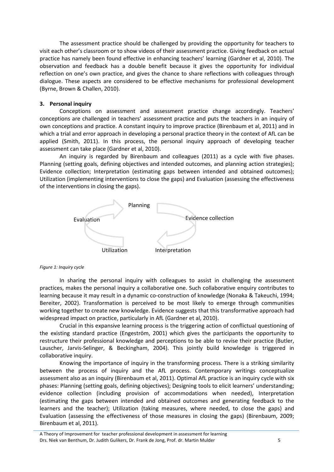The assessment practice should be challenged by providing the opportunity for teachers to visit each other's classroom or to show videos of their assessment practice. Giving feedback on actual practice has namely been found effective in enhancing teachers' learning (Gardner et al, 2010). The observation and feedback has a double benefit because it gives the opportunity for individual reflection on one's own practice, and gives the chance to share reflections with colleagues through dialogue. These aspects are considered to be effective mechanisms for professional development (Byrne, Brown & Challen, 2010).

#### **3. Personal inquiry**

Conceptions on assessment and assessment practice change accordingly. Teachers' conceptions are challenged in teachers' assessment practice and puts the teachers in an inquiry of own conceptions and practice. A constant inquiry to improve practice (Birenbaum et al, 2011) and in which a trial and error approach in developing a personal practice theory in the context of AfL can be applied (Smith, 2011). In this process, the personal inquiry approach of developing teacher assessment can take place (Gardner et al, 2010).

An inquiry is regarded by Birenbaum and colleagues (2011) as a cycle with five phases. Planning (setting goals, defining objectives and intended outcomes, and planning action strategies); Evidence collection; Interpretation (estimating gaps between intended and obtained outcomes); Utilization (implementing interventions to close the gaps) and Evaluation (assessing the effectiveness of the interventions in closing the gaps).



*Figure 1: Inquiry cycle*

In sharing the personal inquiry with colleagues to assist in challenging the assessment practices, makes the personal inquiry a collaborative one. Such collaborative enquiry contributes to learning because it may result in a dynamic co-construction of knowledge (Nonaka & Takeuchi, 1994; Bereiter, 2002). Transformation is perceived to be most likely to emerge through communities working together to create new knowledge. Evidence suggests that this transformative approach had widespread impact on practice, particularly in AfL (Gardner et al, 2010).

Crucial in this expansive learning process is the triggering action of conflictual questioning of the existing standard practice (Engeström, 2001) which gives the participants the opportunity to restructure their professional knowledge and perceptions to be able to revise their practice (Butler, Lauscher, Jarvis-Selinger, & Beckingham, 2004). This jointly build knowledge is triggered in collaborative inquiry.

Knowing the importance of inquiry in the transforming process. There is a striking similarity between the process of inquiry and the AfL process. Contemporary writings conceptualize assessment also as an inquiry (Birenbaum et al, 2011). Optimal AfL practice is an inquiry cycle with six phases: Planning (setting goals, defining objectives); Designing tools to elicit learners' understanding; evidence collection (including provision of accommodations when needed), Interpretation (estimating the gaps between intended and obtained outcomes and generating feedback to the learners and the teacher); Utilization (taking measures, where needed, to close the gaps) and Evaluation (assessing the effectiveness of those measures in closing the gaps) (Birenbaum, 2009; Birenbaum et al, 2011).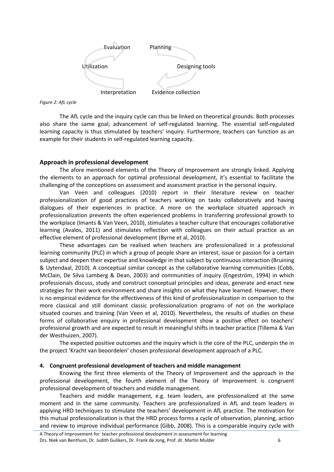

*Figure 2: AfL cycle*

The AfL cycle and the inquiry cycle can thus be linked on theoretical grounds. Both processes also share the same goal; advancement of self-regulated learning. The essential self-regulated learning capacity is thus stimulated by teachers' inquiry. Furthermore, teachers can function as an example for their students in self-regulated learning capacity.

#### **Approach in professional development**

The afore mentioned elements of the Theory of Improvement are strongly linked. Applying the elements to an approach for optimal professional development, it's essential to facilitate the challenging of the conceptions on assessment and assessment practice in the personal inquiry.

Van Veen and colleagues (2010) report in their literature review on teacher professionalization of good practices of teachers working on tasks collaboratively and having dialogues of their experiences in practice. A more on the workplace situated approach in professionalization prevents the often experienced problems in transferring professional growth to the workplace (Imants & Van Veen, 2010), stimulates a teacher culture that encourages collaborative learning (Avalos, 2011) and stimulates reflection with colleagues on their actual practice as an effective element of professional development (Byrne et al, 2010).

These advantages can be realised when teachers are professionalized in a professional learning community (PLC) in which a group of people share an interest, issue or passion for a certain subject and deepen their expertise and knowledge in that subject by continuous interaction (Bruining & Uytendaal, 2010). A conceptual similar concept as the collaborative learning communities (Cobb, McClain, De Silva Lamberg & Dean, 2003) and communities of inquiry (Engeström, 1994) in which professionals discuss, study and construct conceptual principles and ideas, generate and enact new strategies for their work environment and share insights on what they have learned. However, there is no empirical evidence for the effectiveness of this kind of professionalization in comparison to the more classical and still dominant classic professionalization programs of not on the workplace situated courses and training (Van Veen et al, 2010). Nevertheless, the results of studies on these forms of collaborative enquiry in professional development show a positive effect on teachers' professional growth and are expected to result in meaningful shifts in teacher practice (Tillema & Van der Westhuizen, 2007).

The expected positive outcomes and the inquiry which is the core of the PLC, underpin the in the project 'Kracht van beoordelen' chosen professional development approach of a PLC.

#### **4. Congruent professional development of teachers and middle management**

Knowing the first three elements of the Theory of Improvement and the approach in the professional development, the fourth element of the Theory of Improvement is congruent professional development of teachers and middle management.

Teachers and middle management, e.g. team leaders, are professionalized at the same moment and in the same community. Teachers are professionalized in AfL and team leaders in applying HRD techniques to stimulate the teachers' development in AfL practice. The motivation for this mutual professionalization is that the HRD process forms a cycle of observation, planning, action and review to improve individual performance (Gibb, 2008). This is a comparable inquiry cycle with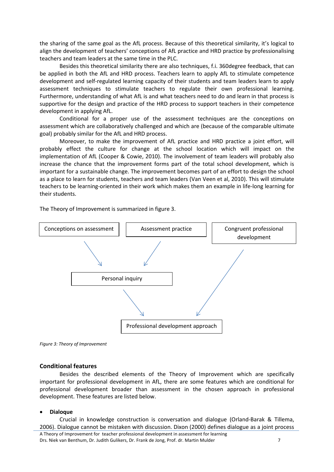the sharing of the same goal as the AfL process. Because of this theoretical similarity, it's logical to align the development of teachers' conceptions of AfL practice and HRD practice by professionalising teachers and team leaders at the same time in the PLC.

Besides this theoretical similarity there are also techniques, f.i. 360degree feedback, that can be applied in both the AfL and HRD process. Teachers learn to apply AfL to stimulate competence development and self-regulated learning capacity of their students and team leaders learn to apply assessment techniques to stimulate teachers to regulate their own professional learning. Furthermore, understanding of what AfL is and what teachers need to do and learn in that process is supportive for the design and practice of the HRD process to support teachers in their competence development in applying AfL.

Conditional for a proper use of the assessment techniques are the conceptions on assessment which are collaboratively challenged and which are (because of the comparable ultimate goal) probably similar for the AfL and HRD process.

Moreover, to make the improvement of AfL practice and HRD practice a joint effort, will probably effect the culture for change at the school location which will impact on the implementation of AfL (Cooper & Cowie, 2010). The involvement of team leaders will probably also increase the chance that the improvement forms part of the total school development, which is important for a sustainable change. The improvement becomes part of an effort to design the school as a place to learn for students, teachers and team leaders (Van Veen et al, 2010). This will stimulate teachers to be learning-oriented in their work which makes them an example in life-long learning for their students.

The Theory of Improvement is summarized in figure 3.



*Figure 3: Theory of Improvement*

#### **Conditional features**

Besides the described elements of the Theory of Improvement which are specifically important for professional development in AfL, there are some features which are conditional for professional development broader than assessment in the chosen approach in professional development. These features are listed below.

#### • **Dialoque**

Crucial in knowledge construction is conversation and dialogue (Orland-Barak & Tillema, 2006). Dialogue cannot be mistaken with discussion. Dixon (2000) defines dialogue as a joint process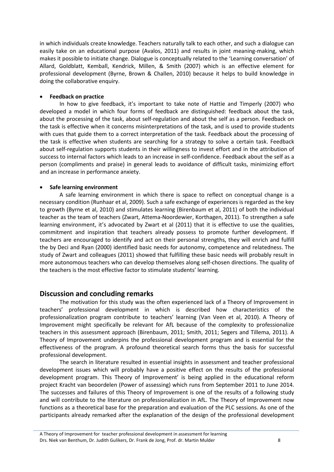in which individuals create knowledge. Teachers naturally talk to each other, and such a dialogue can easily take on an educational purpose (Avalos, 2011) and results in joint meaning-making, which makes it possible to initiate change. Dialogue is conceptually related to the 'Learning conversation' of Allard, Goldblatt, Kemball, Kendrick, Millen, & Smith (2007) which is an effective element for professional development (Byrne, Brown & Challen, 2010) because it helps to build knowledge in doing the collaborative enquiry.

#### • **Feedback on practice**

In how to give feedback, it's important to take note of Hattie and Timperly (2007) who developed a model in which four forms of feedback are distinguished: feedback about the task, about the processing of the task, about self-regulation and about the self as a person. Feedback on the task is effective when it concerns misinterpretations of the task, and is used to provide students with cues that guide them to a correct interpretation of the task. Feedback about the processing of the task is effective when students are searching for a strategy to solve a certain task. Feedback about self-regulation supports students in their willingness to invest effort and in the attribution of success to internal factors which leads to an increase in self-confidence. Feedback about the self as a person (compliments and praise) in general leads to avoidance of difficult tasks, minimizing effort and an increase in performance anxiety.

#### • **Safe learning environment**

A safe learning environment in which there is space to reflect on conceptual change is a necessary condition (Runhaar et al, 2009). Such a safe exchange of experiences is regarded as the key to growth (Byrne et al, 2010) and stimulates learning (Birenbaum et al, 2011) of both the individual teacher as the team of teachers (Zwart, Attema-Noordewier, Korthagen, 2011). To strengthen a safe learning environment, it's advocated by Zwart et al (2011) that it is effective to use the qualities, commitment and inspiration that teachers already possess to promote further development. If teachers are encouraged to identify and act on their personal strengths, they will enrich and fulfill the by Deci and Ryan (2000) identified basic needs for autonomy, competence and relatedness. The study of Zwart and colleagues (2011) showed that fulfilling these basic needs will probably result in more autonomous teachers who can develop themselves along self-chosen directions. The quality of the teachers is the most effective factor to stimulate students' learning.

## **Discussion and concluding remarks**

The motivation for this study was the often experienced lack of a Theory of Improvement in teachers' professional development in which is described how characteristics of the professionalization program contribute to teachers' learning (Van Veen et al, 2010). A Theory of Improvement might specifically be relevant for AfL because of the complexity to professionalize teachers in this assessment approach (Birenbaum, 2011; Smith, 2011; Segers and Tillema, 2011). A Theory of Improvement underpins the professional development program and is essential for the effectiveness of the program. A profound theoretical search forms thus the basis for successful professional development.

The search in literature resulted in essential insights in assessment and teacher professional development issues which will probably have a positive effect on the results of the professional development program. This Theory of Improvement' is being applied in the educational reform project Kracht van beoordelen (Power of assessing) which runs from September 2011 to June 2014. The successes and failures of this Theory of Improvement is one of the results of a following study and will contribute to the literature on professionalization in AfL. The Theory of Improvement now functions as a theoretical base for the preparation and evaluation of the PLC sessions. As one of the participants already remarked after the explanation of the design of the professional development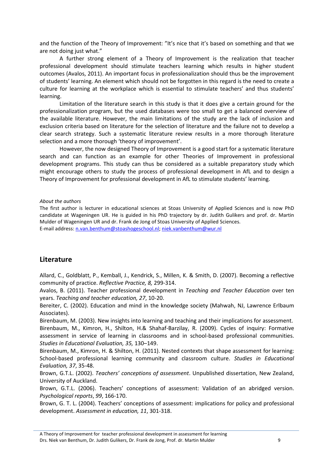and the function of the Theory of Improvement: "It's nice that it's based on something and that we are not doing just what."

A further strong element of a Theory of Improvement is the realization that teacher professional development should stimulate teachers learning which results in higher student outcomes (Avalos, 2011). An important focus in professionalization should thus be the improvement of students' learning. An element which should not be forgotten in this regard is the need to create a culture for learning at the workplace which is essential to stimulate teachers' and thus students' learning.

Limitation of the literature search in this study is that it does give a certain ground for the professionalization program, but the used databases were too small to get a balanced overview of the available literature. However, the main limitations of the study are the lack of inclusion and exclusion criteria based on literature for the selection of literature and the failure not to develop a clear search strategy. Such a systematic literature review results in a more thorough literature selection and a more thorough 'theory of improvement'.

However, the now designed Theory of Improvement is a good start for a systematic literature search and can function as an example for other Theories of Improvement in professional development programs. This study can thus be considered as a suitable preparatory study which might encourage others to study the process of professional development in AfL and to design a Theory of Improvement for professional development in AfL to stimulate students' learning.

*About the authors*

The first author is lecturer in educational sciences at Stoas University of Applied Sciences and is now PhD candidate at Wageningen UR. He is guided in his PhD trajectory by dr. Judith Gulikers and prof. dr. Martin Mulder of Wageningen UR and dr. Frank de Jong of Stoas University of Applied Sciences. E-mail address: [n.van.benthum@stoashogeschool.nl;](mailto:n.van.benthum@stoashogeschool.nl) [niek.vanbenthum@wur.nl](mailto:niek.vanbenthum@wur.nl)

## **Literature**

Allard, C., Goldblatt, P., Kemball, J., Kendrick, S., Millen, K. & Smith, D. (2007). Becoming a reflective community of practice. *Reflective Practice, 8,* 299-314.

Avalos, B. (2011). Teacher professional development in *Teaching and Teacher Education* over ten years. *Teaching and teacher education, 27*, 10-20.

Bereiter, C. (2002). Education and mind in the knowledge society (Mahwah, NJ, Lawrence Erlbaum Associates).

Birenbaum, M. (2003). New insights into learning and teaching and their implications for assessment. Birenbaum, M., Kimron, H., Shilton, H.& Shahaf-Barzilay, R. (2009). Cycles of inquiry: Formative assessment in service of learning in classrooms and in school-based professional communities. *Studies in Educational Evaluation, 35,* 130–149.

Birenbaum, M., Kimron, H. & Shilton, H. (2011). Nested contexts that shape assessment for learning: School-based professional learning community and classroom culture. *Studies in Educational Evaluation, 37*, 35-48.

Brown, G.T.L. (2002). *Teachers' conceptions of assessment*. Unpublished dissertation, New Zealand, University of Auckland.

Brown, G.T.L. (2006). Teachers' conceptions of assessment: Validation of an abridged version. *Psychological reports*, *99*, 166-170.

Brown, G. T. L. (2004). Teachers' conceptions of assessment: implications for policy and professional development. *Assessment in education, 11*, 301-318.

A Theory of Improvement for teacher professional development in assessment for learning Drs. Niek van Benthum, Dr. Judith Gulikers, Dr. Frank de Jong, Prof. dr. Martin Mulder 9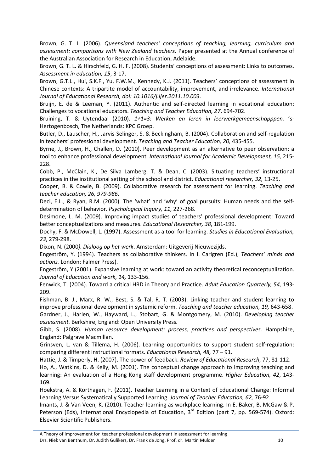Brown, G. T. L. (2006). *Queensland teachers' conceptions of teaching, learning, curriculum and assessment: comparisons with New Zealand teachers*. Paper presented at the Annual conference of the Australian Association for Research in Education, Adelaide.

Brown, G. T. L. & Hirschfeld, G. H. F. (2008). Students' conceptions of assessment: Links to outcomes. *Assessment in education, 15*, 3-17.

Brown, G.T.L., Hui, S.K.F., Yu, F.W.M., Kennedy, K.J. (2011). Teachers' conceptions of assessment in Chinese contexts: A tripartite model of accountability, improvement, and irrelevance. *International Journal of Educational Research, doi: 10.1016/j.ijer.2011.10.003.*

Bruijn, E. de & Leeman, Y. (2011). Authentic and self-directed learning in vocational education: Challenges to vocational educators. *Teaching and Teacher Education, 27*, 694-702.

Bruining, T. & Uytendaal (2010). *1+1=3: Werken en leren in leerwerkgemeenschapppen.* 's-Hertogenbosch, The Netherlands: KPC Groep.

Butler, D., Lauscher, H., Jarvis-Selinger, S. & Beckingham, B. (2004). Collaboration and self-regulation in teachers' professional development*. Teaching and Teacher Education, 20,* 435-455.

Byrne, J., Brown, H., Challen, D. (2010). Peer development as an alternative to peer observation: a tool to enhance professional development*. International Journal for Academic Development, 15,* 215- 228.

Cobb, P., McClain, K., De Silva Lamberg, T. & Dean, C. (2003). Situating teachers' instructional practices in the institutional setting of the school and district. *Educational researcher, 32,* 13-25.

Cooper, B. & Cowie, B. (2009). Collaborative research for assessment for learning. *Teaching and teacher education, 26, 979-986*.

Deci, E.L., & Ryan, R.M. (2000). The 'what' and 'why' of goal pursuits: Human needs and the selfdetermination of behavior. *Psychological Inquiry, 11,* 227-268.

Desimone, L. M. (2009). Improving impact studies of teachers' professional development: Toward better conceptualizations and measures. *Educational Researcher, 38*, 181-199.

Dochy, F. & McDowell, L. (1997). Assessment as a tool for learning. *Studies in Educational Evaluation, 23*, 279-298.

Dixon, N. (2000*). Dialoog op het werk*. Amsterdam: Uitgeverij Nieuwezijds.

Engeström, Y. (1994). Teachers as collaborative thinkers. In I. Carlgren (Ed.), *Teachers' minds and actions.* London: Falmer Press).

Engeström, Y (2001). Expansive learning at work: toward an activity theoretical reconceptualization. *Journal of Education and work, 14,* 133-156.

Fenwick, T. (2004). Toward a critical HRD in Theory and Practice. *Adult Education Quarterly, 54,* 193- 209.

Fishman, B. J., Marx, R. W., Best, S. & Tal, R. T. (2003). Linking teacher and student learning to improve professional development in systemic reform. *Teaching and teacher education, 19,* 643-658.

Gardner, J., Harlen, W., Hayward, L., Stobart, G. & Montgomery, M. (2010). *Developing teacher assessment.* Berkshire, England: Open University Press.

Gibb, S. (2008). *Human resource development: process, practices and perspectives.* Hampshire, England: Palgrave Macmillan.

Grinsven, L. van & Tillema, H. (2006). Learning opportunities to support student self-regulation: comparing different instructional formats. *Educational Research, 48,* 77 – 91*.*

Hattie, J. & Timperly, H. (2007). The power of feedback. *Review of Educational Research*, 77, 81-112.

Ho, A., Watkins, D. & Kelly, M. (2001). The conceptual change approach to improving teaching and learning: An evaluation of a Hong Kong staff development programme. *Higher Education, 42*, 143- 169.

Hoekstra, A. & Korthagen, F. (2011). Teacher Learning in a Context of Educational Change: Informal Learning Versus Systematically Supported Learning. *Journal of Teacher Education, 62,* 76-92.

Imants, J. & Van Veen, K. (2010). Teacher learning as workplace learning. In E. Baker, B. McGaw & P. Peterson (Eds), International Encyclopedia of Education, 3<sup>rd</sup> Edition (part 7, pp. 569-574). Oxford: Elsevier Scientific Publishers.